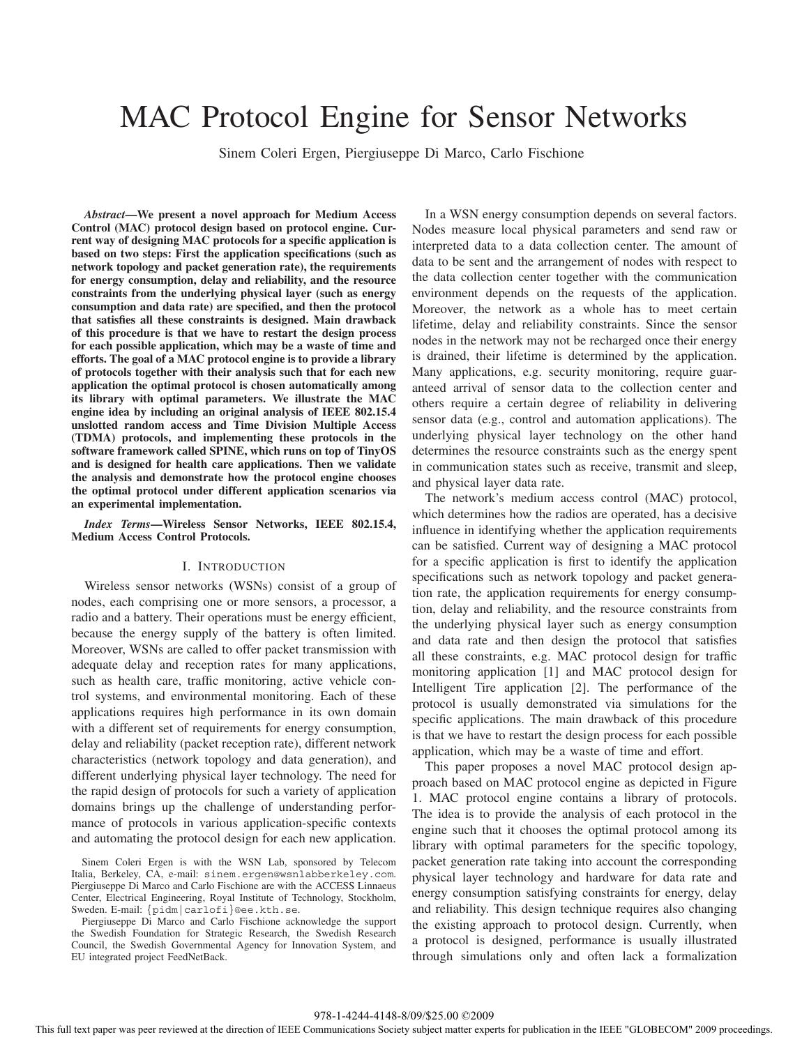# MAC Protocol Engine for Sensor Networks

Sinem Coleri Ergen, Piergiuseppe Di Marco, Carlo Fischione

*Abstract***—We present a novel approach for Medium Access Control (MAC) protocol design based on protocol engine. Current way of designing MAC protocols for a specific application is based on two steps: First the application specifications (such as network topology and packet generation rate), the requirements for energy consumption, delay and reliability, and the resource constraints from the underlying physical layer (such as energy consumption and data rate) are specified, and then the protocol that satisfies all these constraints is designed. Main drawback of this procedure is that we have to restart the design process for each possible application, which may be a waste of time and efforts. The goal of a MAC protocol engine is to provide a library of protocols together with their analysis such that for each new application the optimal protocol is chosen automatically among its library with optimal parameters. We illustrate the MAC engine idea by including an original analysis of IEEE 802.15.4 unslotted random access and Time Division Multiple Access (TDMA) protocols, and implementing these protocols in the software framework called SPINE, which runs on top of TinyOS and is designed for health care applications. Then we validate the analysis and demonstrate how the protocol engine chooses the optimal protocol under different application scenarios via an experimental implementation.**

*Index Terms***—Wireless Sensor Networks, IEEE 802.15.4, Medium Access Control Protocols.**

# I. INTRODUCTION

Wireless sensor networks (WSNs) consist of a group of nodes, each comprising one or more sensors, a processor, a radio and a battery. Their operations must be energy efficient, because the energy supply of the battery is often limited. Moreover, WSNs are called to offer packet transmission with adequate delay and reception rates for many applications, such as health care, traffic monitoring, active vehicle control systems, and environmental monitoring. Each of these applications requires high performance in its own domain with a different set of requirements for energy consumption, delay and reliability (packet reception rate), different network characteristics (network topology and data generation), and different underlying physical layer technology. The need for the rapid design of protocols for such a variety of application domains brings up the challenge of understanding performance of protocols in various application-specific contexts and automating the protocol design for each new application.

Piergiuseppe Di Marco and Carlo Fischione acknowledge the support the Swedish Foundation for Strategic Research, the Swedish Research Council, the Swedish Governmental Agency for Innovation System, and EU integrated project FeedNetBack.

In a WSN energy consumption depends on several factors. Nodes measure local physical parameters and send raw or interpreted data to a data collection center. The amount of data to be sent and the arrangement of nodes with respect to the data collection center together with the communication environment depends on the requests of the application. Moreover, the network as a whole has to meet certain lifetime, delay and reliability constraints. Since the sensor nodes in the network may not be recharged once their energy is drained, their lifetime is determined by the application. Many applications, e.g. security monitoring, require guaranteed arrival of sensor data to the collection center and others require a certain degree of reliability in delivering sensor data (e.g., control and automation applications). The underlying physical layer technology on the other hand determines the resource constraints such as the energy spent in communication states such as receive, transmit and sleep, and physical layer data rate.

The network's medium access control (MAC) protocol, which determines how the radios are operated, has a decisive influence in identifying whether the application requirements can be satisfied. Current way of designing a MAC protocol for a specific application is first to identify the application specifications such as network topology and packet generation rate, the application requirements for energy consumption, delay and reliability, and the resource constraints from the underlying physical layer such as energy consumption and data rate and then design the protocol that satisfies all these constraints, e.g. MAC protocol design for traffic monitoring application [1] and MAC protocol design for Intelligent Tire application [2]. The performance of the protocol is usually demonstrated via simulations for the specific applications. The main drawback of this procedure is that we have to restart the design process for each possible application, which may be a waste of time and effort.

This paper proposes a novel MAC protocol design approach based on MAC protocol engine as depicted in Figure 1. MAC protocol engine contains a library of protocols. The idea is to provide the analysis of each protocol in the engine such that it chooses the optimal protocol among its library with optimal parameters for the specific topology, packet generation rate taking into account the corresponding physical layer technology and hardware for data rate and energy consumption satisfying constraints for energy, delay and reliability. This design technique requires also changing the existing approach to protocol design. Currently, when a protocol is designed, performance is usually illustrated through simulations only and often lack a formalization

Sinem Coleri Ergen is with the WSN Lab, sponsored by Telecom Italia, Berkeley, CA, e-mail: sinem.ergen@wsnlabberkeley.com. Piergiuseppe Di Marco and Carlo Fischione are with the ACCESS Linnaeus Center, Electrical Engineering, Royal Institute of Technology, Stockholm, Sweden. E-mail: {pidm|carlofi}@ee.kth.se.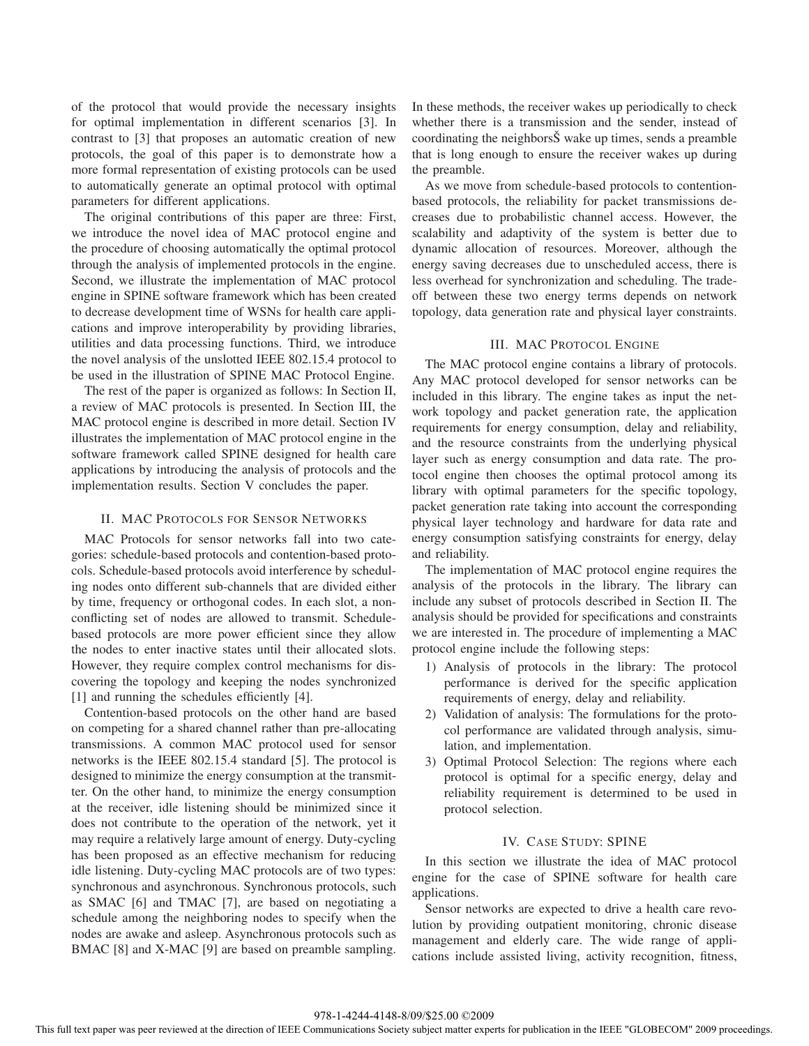of the protocol that would provide the necessary insights for optimal implementation in different scenarios [3]. In contrast to [3] that proposes an automatic creation of new protocols, the goal of this paper is to demonstrate how a more formal representation of existing protocols can be used to automatically generate an optimal protocol with optimal parameters for different applications.

The original contributions of this paper are three: First, we introduce the novel idea of MAC protocol engine and the procedure of choosing automatically the optimal protocol through the analysis of implemented protocols in the engine. Second, we illustrate the implementation of MAC protocol engine in SPINE software framework which has been created to decrease development time of WSNs for health care applications and improve interoperability by providing libraries, utilities and data processing functions. Third, we introduce the novel analysis of the unslotted IEEE 802.15.4 protocol to be used in the illustration of SPINE MAC Protocol Engine.

The rest of the paper is organized as follows: In Section II, a review of MAC protocols is presented. In Section III, the MAC protocol engine is described in more detail. Section IV illustrates the implementation of MAC protocol engine in the software framework called SPINE designed for health care applications by introducing the analysis of protocols and the implementation results. Section V concludes the paper.

## II. MAC PROTOCOLS FOR SENSOR NETWORKS

MAC Protocols for sensor networks fall into two categories: schedule-based protocols and contention-based protocols. Schedule-based protocols avoid interference by scheduling nodes onto different sub-channels that are divided either by time, frequency or orthogonal codes. In each slot, a nonconflicting set of nodes are allowed to transmit. Schedulebased protocols are more power efficient since they allow the nodes to enter inactive states until their allocated slots. However, they require complex control mechanisms for discovering the topology and keeping the nodes synchronized [1] and running the schedules efficiently [4].

Contention-based protocols on the other hand are based on competing for a shared channel rather than pre-allocating transmissions. A common MAC protocol used for sensor networks is the IEEE 802.15.4 standard [5]. The protocol is designed to minimize the energy consumption at the transmitter. On the other hand, to minimize the energy consumption at the receiver, idle listening should be minimized since it does not contribute to the operation of the network, yet it may require a relatively large amount of energy. Duty-cycling has been proposed as an effective mechanism for reducing idle listening. Duty-cycling MAC protocols are of two types: synchronous and asynchronous. Synchronous protocols, such as SMAC [6] and TMAC [7], are based on negotiating a schedule among the neighboring nodes to specify when the nodes are awake and asleep. Asynchronous protocols such as BMAC [8] and X-MAC [9] are based on preamble sampling.

In these methods, the receiver wakes up periodically to check whether there is a transmission and the sender, instead of coordinating the neighborsŠ wake up times, sends a preamble that is long enough to ensure the receiver wakes up during the preamble.

As we move from schedule-based protocols to contentionbased protocols, the reliability for packet transmissions decreases due to probabilistic channel access. However, the scalability and adaptivity of the system is better due to dynamic allocation of resources. Moreover, although the energy saving decreases due to unscheduled access, there is less overhead for synchronization and scheduling. The tradeoff between these two energy terms depends on network topology, data generation rate and physical layer constraints.

# III. MAC PROTOCOL ENGINE

The MAC protocol engine contains a library of protocols. Any MAC protocol developed for sensor networks can be included in this library. The engine takes as input the network topology and packet generation rate, the application requirements for energy consumption, delay and reliability, and the resource constraints from the underlying physical layer such as energy consumption and data rate. The protocol engine then chooses the optimal protocol among its library with optimal parameters for the specific topology, packet generation rate taking into account the corresponding physical layer technology and hardware for data rate and energy consumption satisfying constraints for energy, delay and reliability.

The implementation of MAC protocol engine requires the analysis of the protocols in the library. The library can include any subset of protocols described in Section II. The analysis should be provided for specifications and constraints we are interested in. The procedure of implementing a MAC protocol engine include the following steps:

- 1) Analysis of protocols in the library: The protocol performance is derived for the specific application requirements of energy, delay and reliability.
- 2) Validation of analysis: The formulations for the protocol performance are validated through analysis, simulation, and implementation.
- 3) Optimal Protocol Selection: The regions where each protocol is optimal for a specific energy, delay and reliability requirement is determined to be used in protocol selection.

# IV. CASE STUDY: SPINE

In this section we illustrate the idea of MAC protocol engine for the case of SPINE software for health care applications.

Sensor networks are expected to drive a health care revolution by providing outpatient monitoring, chronic disease management and elderly care. The wide range of applications include assisted living, activity recognition, fitness,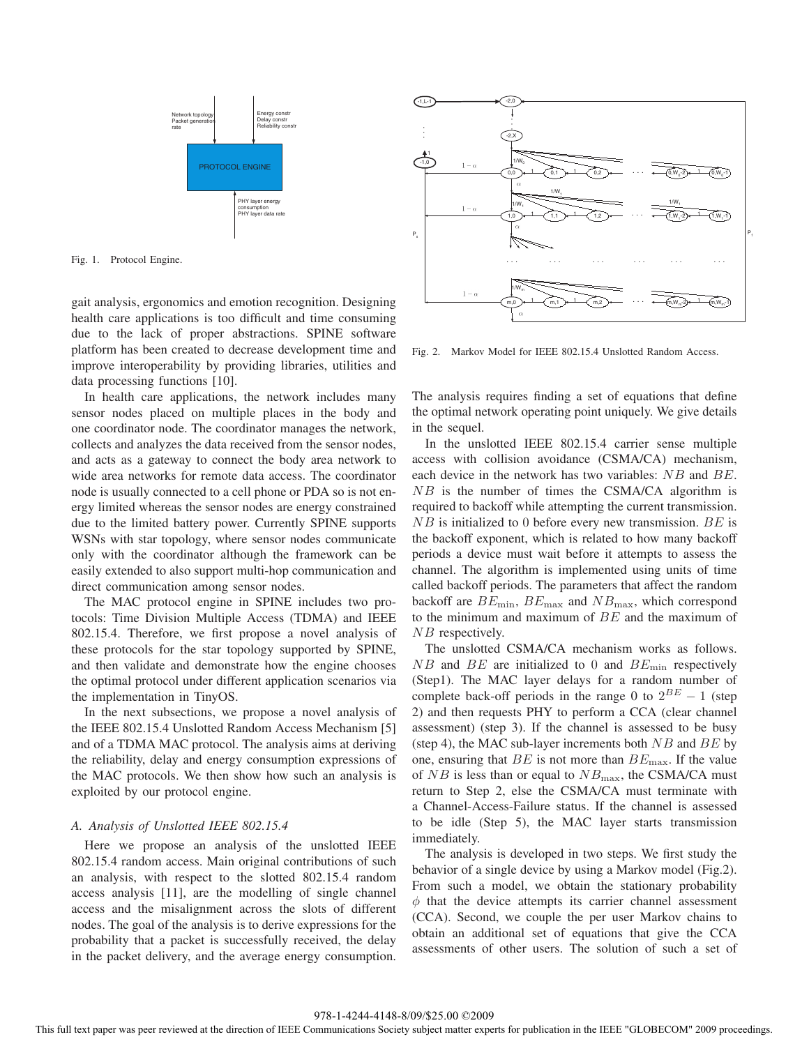

Fig. 1. Protocol Engine.

gait analysis, ergonomics and emotion recognition. Designing health care applications is too difficult and time consuming due to the lack of proper abstractions. SPINE software platform has been created to decrease development time and improve interoperability by providing libraries, utilities and data processing functions [10].

In health care applications, the network includes many sensor nodes placed on multiple places in the body and one coordinator node. The coordinator manages the network, collects and analyzes the data received from the sensor nodes, and acts as a gateway to connect the body area network to wide area networks for remote data access. The coordinator node is usually connected to a cell phone or PDA so is not energy limited whereas the sensor nodes are energy constrained due to the limited battery power. Currently SPINE supports WSNs with star topology, where sensor nodes communicate only with the coordinator although the framework can be easily extended to also support multi-hop communication and direct communication among sensor nodes.

The MAC protocol engine in SPINE includes two protocols: Time Division Multiple Access (TDMA) and IEEE 802.15.4. Therefore, we first propose a novel analysis of these protocols for the star topology supported by SPINE, and then validate and demonstrate how the engine chooses the optimal protocol under different application scenarios via the implementation in TinyOS.

In the next subsections, we propose a novel analysis of the IEEE 802.15.4 Unslotted Random Access Mechanism [5] and of a TDMA MAC protocol. The analysis aims at deriving the reliability, delay and energy consumption expressions of the MAC protocols. We then show how such an analysis is exploited by our protocol engine.

# *A. Analysis of Unslotted IEEE 802.15.4*

Here we propose an analysis of the unslotted IEEE 802.15.4 random access. Main original contributions of such an analysis, with respect to the slotted 802.15.4 random access analysis [11], are the modelling of single channel access and the misalignment across the slots of different nodes. The goal of the analysis is to derive expressions for the probability that a packet is successfully received, the delay in the packet delivery, and the average energy consumption.



Fig. 2. Markov Model for IEEE 802.15.4 Unslotted Random Access.

The analysis requires finding a set of equations that define the optimal network operating point uniquely. We give details in the sequel.

In the unslotted IEEE 802.15.4 carrier sense multiple access with collision avoidance (CSMA/CA) mechanism, each device in the network has two variables: NB and BE. NB is the number of times the CSMA/CA algorithm is required to backoff while attempting the current transmission.  $NB$  is initialized to 0 before every new transmission.  $BE$  is the backoff exponent, which is related to how many backoff periods a device must wait before it attempts to assess the channel. The algorithm is implemented using units of time called backoff periods. The parameters that affect the random backoff are  $BE_{\text{min}}$ ,  $BE_{\text{max}}$  and  $NB_{\text{max}}$ , which correspond to the minimum and maximum of  $BE$  and the maximum of NB respectively.

The unslotted CSMA/CA mechanism works as follows.  $NB$  and  $BE$  are initialized to 0 and  $BE_{\text{min}}$  respectively (Step1). The MAC layer delays for a random number of complete back-off periods in the range 0 to  $2^{BE} - 1$  (step 2) and then requests PHY to perform a CCA (clear channel assessment) (step 3). If the channel is assessed to be busy (step 4), the MAC sub-layer increments both  $NB$  and  $BE$  by one, ensuring that  $BE$  is not more than  $BE_{\text{max}}$ . If the value of  $NB$  is less than or equal to  $NB<sub>max</sub>$ , the CSMA/CA must return to Step 2, else the CSMA/CA must terminate with a Channel-Access-Failure status. If the channel is assessed to be idle (Step 5), the MAC layer starts transmission immediately.

The analysis is developed in two steps. We first study the behavior of a single device by using a Markov model (Fig.2). From such a model, we obtain the stationary probability  $\phi$  that the device attempts its carrier channel assessment (CCA). Second, we couple the per user Markov chains to obtain an additional set of equations that give the CCA assessments of other users. The solution of such a set of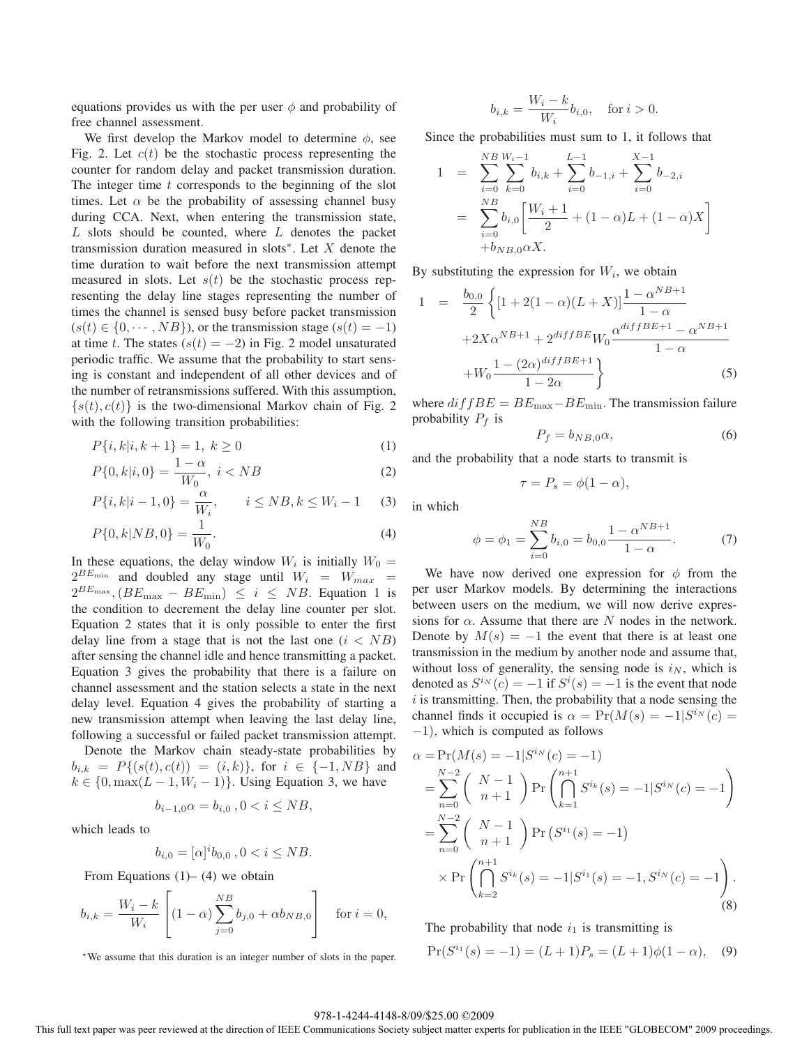equations provides us with the per user  $\phi$  and probability of free channel assessment.

We first develop the Markov model to determine  $\phi$ , see Fig. 2. Let  $c(t)$  be the stochastic process representing the counter for random delay and packet transmission duration. The integer time  $t$  corresponds to the beginning of the slot times. Let  $\alpha$  be the probability of assessing channel busy during CCA. Next, when entering the transmission state,  $L$  slots should be counted, where  $L$  denotes the packet transmission duration measured in slots∗. Let X denote the time duration to wait before the next transmission attempt measured in slots. Let  $s(t)$  be the stochastic process representing the delay line stages representing the number of times the channel is sensed busy before packet transmission  $(s(t) \in \{0, \dots, NB\})$ , or the transmission stage  $(s(t) = -1)$ at time t. The states  $(s(t) = -2)$  in Fig. 2 model unsaturated periodic traffic. We assume that the probability to start sensing is constant and independent of all other devices and of the number of retransmissions suffered. With this assumption,  $\{s(t), c(t)\}\$ is the two-dimensional Markov chain of Fig. 2 with the following transition probabilities:

$$
P\{i,k|i,k+1\} = 1, k \ge 0
$$
 (1)

$$
P\{0, k|i, 0\} = \frac{1 - \alpha}{W_0}, \ i < NB \tag{2}
$$

$$
P\{i, k|i-1, 0\} = \frac{\alpha}{W_i}, \qquad i \le NB, k \le W_i - 1 \tag{3}
$$

$$
P\{0, k|NB, 0\} = \frac{1}{W_0}.\tag{4}
$$

In these equations, the delay window  $W_i$  is initially  $W_0 =$  $2^{BE_{\text{min}}}$  and doubled any stage until  $W_i = W_{max}$  $2^{BE_{\text{max}}}$ ,  $(BE_{\text{max}} - BE_{\text{min}}) \le i \le NB$ . Equation 1 is the condition to decrement the delay line counter per slot. Equation 2 states that it is only possible to enter the first delay line from a stage that is not the last one  $(i < NB)$ after sensing the channel idle and hence transmitting a packet. Equation 3 gives the probability that there is a failure on channel assessment and the station selects a state in the next delay level. Equation 4 gives the probability of starting a new transmission attempt when leaving the last delay line, following a successful or failed packet transmission attempt.

Denote the Markov chain steady-state probabilities by  $b_{i,k} = P\{(s(t), c(t)) = (i, k)\}\$ , for  $i \in \{-1, NB\}$  and  $k \in \{0, \max(L-1, W_i-1)\}\.$  Using Equation 3, we have

$$
b_{i-1,0}\alpha = b_{i,0} \,, 0 < i \leq NB,
$$

which leads to

$$
b_{i,0} = [\alpha]^i b_{0,0}, 0 < i \leq NB.
$$

From Equations  $(1)$ –  $(4)$  we obtain

$$
b_{i,k} = \frac{W_i - k}{W_i} \left[ (1 - \alpha) \sum_{j=0}^{NB} b_{j,0} + \alpha b_{NB,0} \right] \quad \text{for } i = 0,
$$

∗We assume that this duration is an integer number of slots in the paper.

$$
b_{i,k} = \frac{W_i - k}{W_i} b_{i,0}, \quad \text{for } i > 0.
$$

Since the probabilities must sum to 1, it follows that

$$
1 = \sum_{i=0}^{NB} \sum_{k=0}^{W_i - 1} b_{i,k} + \sum_{i=0}^{L-1} b_{-1,i} + \sum_{i=0}^{X-1} b_{-2,i}
$$
  
= 
$$
\sum_{i=0}^{NB} b_{i,0} \left[ \frac{W_i + 1}{2} + (1 - \alpha)L + (1 - \alpha)X \right]
$$
  
+
$$
b_{NB,0} \alpha X.
$$

By substituting the expression for  $W_i$ , we obtain

$$
1 = \frac{b_{0,0}}{2} \left\{ [1 + 2(1 - \alpha)(L + X)] \frac{1 - \alpha^{NB+1}}{1 - \alpha} + 2X\alpha^{NB+1} + 2^{diffBE}W_0 \frac{\alpha^{diffBE+1} - \alpha^{NB+1}}{1 - \alpha} + W_0 \frac{1 - (2\alpha)^{diffBE+1}}{1 - 2\alpha} \right\}
$$
(5)

where  $diffBE = BE_{\text{max}} - BE_{\text{min}}$ . The transmission failure probability  $P_f$  is

$$
P_f = b_{NB,0}\alpha,\t\t(6)
$$

and the probability that a node starts to transmit is

$$
\tau = P_s = \phi(1 - \alpha),
$$

in which

$$
\phi = \phi_1 = \sum_{i=0}^{NB} b_{i,0} = b_{0,0} \frac{1 - \alpha^{NB+1}}{1 - \alpha}.
$$
 (7)

We have now derived one expression for  $\phi$  from the per user Markov models. By determining the interactions between users on the medium, we will now derive expressions for  $\alpha$ . Assume that there are N nodes in the network. Denote by  $M(s) = -1$  the event that there is at least one transmission in the medium by another node and assume that, without loss of generality, the sensing node is  $i_N$ , which is denoted as  $S^{i_N}(c) = -1$  if  $S^i(s) = -1$  is the event that node  $i$  is transmitting. Then, the probability that a node sensing the channel finds it occupied is  $\alpha = \Pr(M(s) = -1|S^{iN}(c))$ −1), which is computed as follows

$$
\alpha = \Pr(M(s) = -1|S^{i_N}(c) = -1)
$$
  
= 
$$
\sum_{n=0}^{N-2} {N-1 \choose n+1} \Pr\left(\bigcap_{k=1}^{n+1} S^{i_k}(s) = -1|S^{i_N}(c) = -1\right)
$$
  
= 
$$
\sum_{n=0}^{N-2} {N-1 \choose n+1} \Pr(S^{i_1}(s) = -1)
$$
  

$$
\times \Pr\left(\bigcap_{k=2}^{n+1} S^{i_k}(s) = -1|S^{i_1}(s) = -1, S^{i_N}(c) = -1\right).
$$
 (8)

The probability that node  $i_1$  is transmitting is

$$
Pr(S^{i_1}(s) = -1) = (L+1)P_s = (L+1)\phi(1-\alpha), \quad (9)
$$

#### 978-1-4244-4148-8/09/\$25.00 ©2009

This full text paper was peer reviewed at the direction of IEEE Communications Society subject matter experts for publication in the IEEE "GLOBECOM" 2009 proceedings.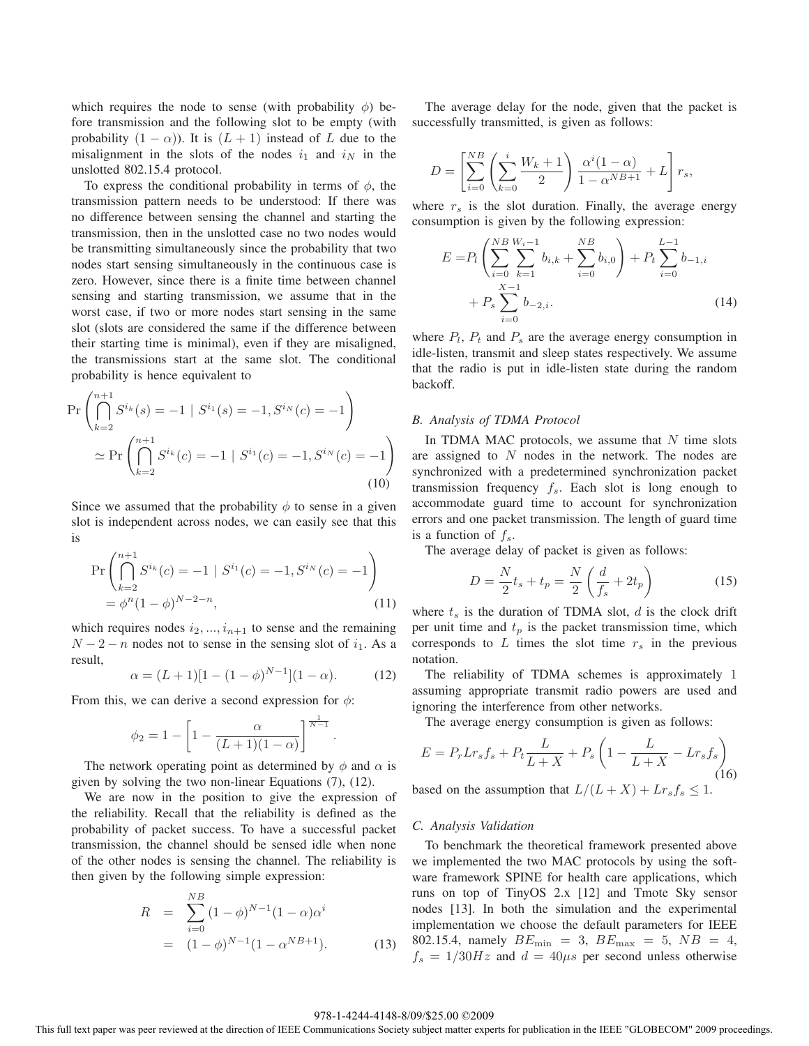which requires the node to sense (with probability  $\phi$ ) before transmission and the following slot to be empty (with probability  $(1 - \alpha)$ ). It is  $(L + 1)$  instead of L due to the misalignment in the slots of the nodes  $i_1$  and  $i_N$  in the unslotted 802.15.4 protocol.

To express the conditional probability in terms of  $\phi$ , the transmission pattern needs to be understood: If there was no difference between sensing the channel and starting the transmission, then in the unslotted case no two nodes would be transmitting simultaneously since the probability that two nodes start sensing simultaneously in the continuous case is zero. However, since there is a finite time between channel sensing and starting transmission, we assume that in the worst case, if two or more nodes start sensing in the same slot (slots are considered the same if the difference between their starting time is minimal), even if they are misaligned, the transmissions start at the same slot. The conditional probability is hence equivalent to

$$
\Pr\left(\bigcap_{k=2}^{n+1} S^{i_k}(s) = -1 \mid S^{i_1}(s) = -1, S^{i_N}(c) = -1\right)
$$
  
\n
$$
\simeq \Pr\left(\bigcap_{k=2}^{n+1} S^{i_k}(c) = -1 \mid S^{i_1}(c) = -1, S^{i_N}(c) = -1\right)
$$
  
\n(10)

Since we assumed that the probability  $\phi$  to sense in a given slot is independent across nodes, we can easily see that this is

$$
\Pr\left(\bigcap_{k=2}^{n+1} S^{i_k}(c) = -1 \mid S^{i_1}(c) = -1, S^{i_N}(c) = -1\right)
$$
  
=  $\phi^n (1 - \phi)^{N-2-n}$ , (11)

which requires nodes  $i_2, ..., i_{n+1}$  to sense and the remaining  $N-2-n$  nodes not to sense in the sensing slot of  $i_1$ . As a result,

$$
\alpha = (L+1)[1 - (1 - \phi)^{N-1}](1 - \alpha). \tag{12}
$$

.

From this, we can derive a second expression for  $\phi$ :

$$
\phi_2 = 1 - \left[1 - \frac{\alpha}{(L+1)(1-\alpha)}\right]^{\frac{1}{N-1}}
$$

The network operating point as determined by  $\phi$  and  $\alpha$  is given by solving the two non-linear Equations (7), (12).

We are now in the position to give the expression of the reliability. Recall that the reliability is defined as the probability of packet success. To have a successful packet transmission, the channel should be sensed idle when none of the other nodes is sensing the channel. The reliability is then given by the following simple expression:

$$
R = \sum_{i=0}^{NB} (1 - \phi)^{N-1} (1 - \alpha) \alpha^{i}
$$
  
=  $(1 - \phi)^{N-1} (1 - \alpha^{NB+1}).$  (13)

The average delay for the node, given that the packet is successfully transmitted, is given as follows:

$$
D = \left[ \sum_{i=0}^{NB} \left( \sum_{k=0}^{i} \frac{W_k + 1}{2} \right) \frac{\alpha^i (1 - \alpha)}{1 - \alpha^{NB+1}} + L \right] r_s,
$$

where  $r<sub>s</sub>$  is the slot duration. Finally, the average energy consumption is given by the following expression:

$$
E = P_l \left( \sum_{i=0}^{NB} \sum_{k=1}^{W_i - 1} b_{i,k} + \sum_{i=0}^{NB} b_{i,0} \right) + P_t \sum_{i=0}^{L-1} b_{-1,i}
$$
  
+ 
$$
P_s \sum_{i=0}^{X-1} b_{-2,i}.
$$
 (14)

where  $P_l$ ,  $P_t$  and  $P_s$  are the average energy consumption in idle-listen, transmit and sleep states respectively. We assume that the radio is put in idle-listen state during the random backoff.

#### *B. Analysis of TDMA Protocol*

In TDMA MAC protocols, we assume that  $N$  time slots are assigned to N nodes in the network. The nodes are synchronized with a predetermined synchronization packet transmission frequency f*s*. Each slot is long enough to accommodate guard time to account for synchronization errors and one packet transmission. The length of guard time is a function of f*s*.

The average delay of packet is given as follows:

$$
D = \frac{N}{2}t_s + t_p = \frac{N}{2} \left( \frac{d}{f_s} + 2t_p \right)
$$
 (15)

where  $t_s$  is the duration of TDMA slot,  $d$  is the clock drift per unit time and  $t_p$  is the packet transmission time, which corresponds to  $L$  times the slot time  $r<sub>s</sub>$  in the previous notation.

The reliability of TDMA schemes is approximately 1 assuming appropriate transmit radio powers are used and ignoring the interference from other networks.

The average energy consumption is given as follows:

$$
E = P_r L r_s f_s + P_t \frac{L}{L+X} + P_s \left( 1 - \frac{L}{L+X} - L r_s f_s \right)
$$
\n<sup>(16)</sup>

based on the assumption that  $L/(L+X) + Lr_s f_s \leq 1$ .

## *C. Analysis Validation*

To benchmark the theoretical framework presented above we implemented the two MAC protocols by using the software framework SPINE for health care applications, which runs on top of TinyOS 2.x [12] and Tmote Sky sensor nodes [13]. In both the simulation and the experimental implementation we choose the default parameters for IEEE 802.15.4, namely  $BE_{\text{min}} = 3$ ,  $BE_{\text{max}} = 5$ ,  $NB = 4$ ,  $f_s = 1/30Hz$  and  $d = 40\mu s$  per second unless otherwise

#### 978-1-4244-4148-8/09/\$25.00 ©2009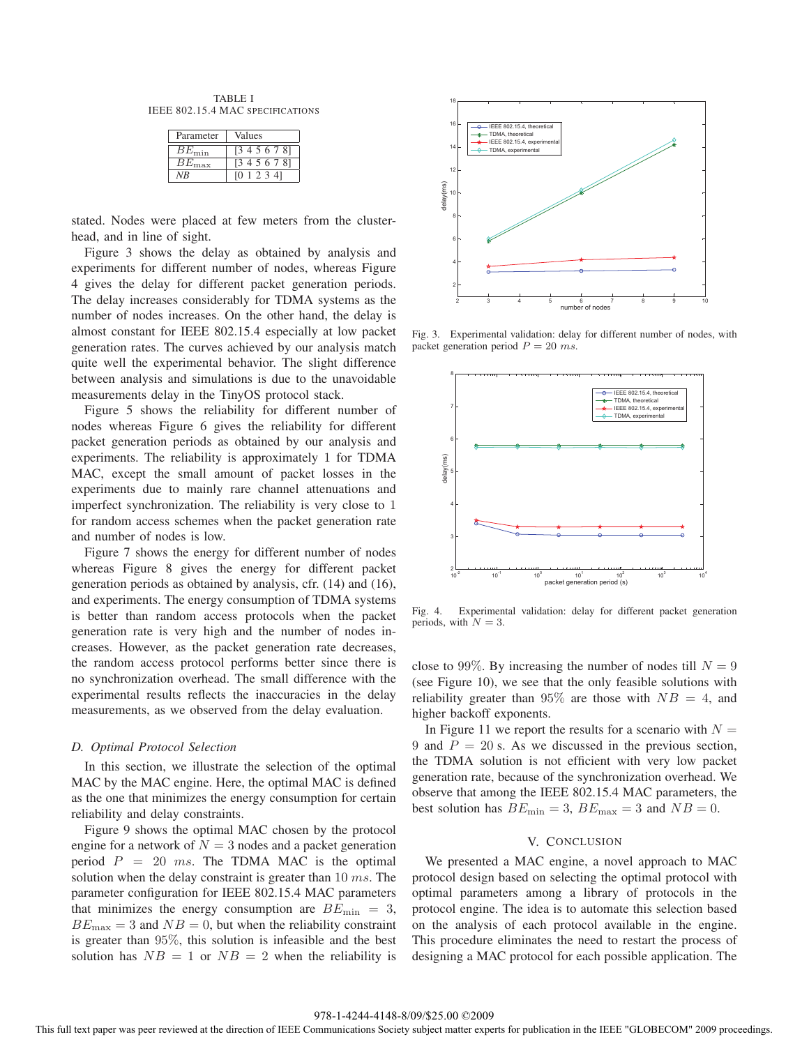TABLE I IEEE 802.15.4 MAC SPECIFICATIONS

| Parameter         | Values      |
|-------------------|-------------|
| $BE_{\text{min}}$ | [345678]    |
| $BE_{\rm max}$    | [345678]    |
| VR                | [0 1 2 3 4] |

stated. Nodes were placed at few meters from the clusterhead, and in line of sight.

Figure 3 shows the delay as obtained by analysis and experiments for different number of nodes, whereas Figure 4 gives the delay for different packet generation periods. The delay increases considerably for TDMA systems as the number of nodes increases. On the other hand, the delay is almost constant for IEEE 802.15.4 especially at low packet generation rates. The curves achieved by our analysis match quite well the experimental behavior. The slight difference between analysis and simulations is due to the unavoidable measurements delay in the TinyOS protocol stack.

Figure 5 shows the reliability for different number of nodes whereas Figure 6 gives the reliability for different packet generation periods as obtained by our analysis and experiments. The reliability is approximately 1 for TDMA MAC, except the small amount of packet losses in the experiments due to mainly rare channel attenuations and imperfect synchronization. The reliability is very close to 1 for random access schemes when the packet generation rate and number of nodes is low.

Figure 7 shows the energy for different number of nodes whereas Figure 8 gives the energy for different packet generation periods as obtained by analysis, cfr. (14) and (16), and experiments. The energy consumption of TDMA systems is better than random access protocols when the packet generation rate is very high and the number of nodes increases. However, as the packet generation rate decreases, the random access protocol performs better since there is no synchronization overhead. The small difference with the experimental results reflects the inaccuracies in the delay measurements, as we observed from the delay evaluation.

## *D. Optimal Protocol Selection*

In this section, we illustrate the selection of the optimal MAC by the MAC engine. Here, the optimal MAC is defined as the one that minimizes the energy consumption for certain reliability and delay constraints.

Figure 9 shows the optimal MAC chosen by the protocol engine for a network of  $N = 3$  nodes and a packet generation period  $P = 20$  ms. The TDMA MAC is the optimal solution when the delay constraint is greater than 10 ms. The parameter configuration for IEEE 802.15.4 MAC parameters that minimizes the energy consumption are  $BE_{\text{min}} = 3$ ,  $BE_{\text{max}} = 3$  and  $NB = 0$ , but when the reliability constraint is greater than 95%, this solution is infeasible and the best solution has  $NB = 1$  or  $NB = 2$  when the reliability is



Fig. 3. Experimental validation: delay for different number of nodes, with packet generation period  $P = 20$  ms.



Fig. 4. Experimental validation: delay for different packet generation periods, with  $N = 3$ .

close to 99%. By increasing the number of nodes till  $N = 9$ (see Figure 10), we see that the only feasible solutions with reliability greater than 95% are those with  $NB = 4$ , and higher backoff exponents.

In Figure 11 we report the results for a scenario with  $N =$ 9 and  $P = 20$  s. As we discussed in the previous section, the TDMA solution is not efficient with very low packet generation rate, because of the synchronization overhead. We observe that among the IEEE 802.15.4 MAC parameters, the best solution has  $BE_{\text{min}} = 3$ ,  $BE_{\text{max}} = 3$  and  $NB = 0$ .

# V. CONCLUSION

We presented a MAC engine, a novel approach to MAC protocol design based on selecting the optimal protocol with optimal parameters among a library of protocols in the protocol engine. The idea is to automate this selection based on the analysis of each protocol available in the engine. This procedure eliminates the need to restart the process of designing a MAC protocol for each possible application. The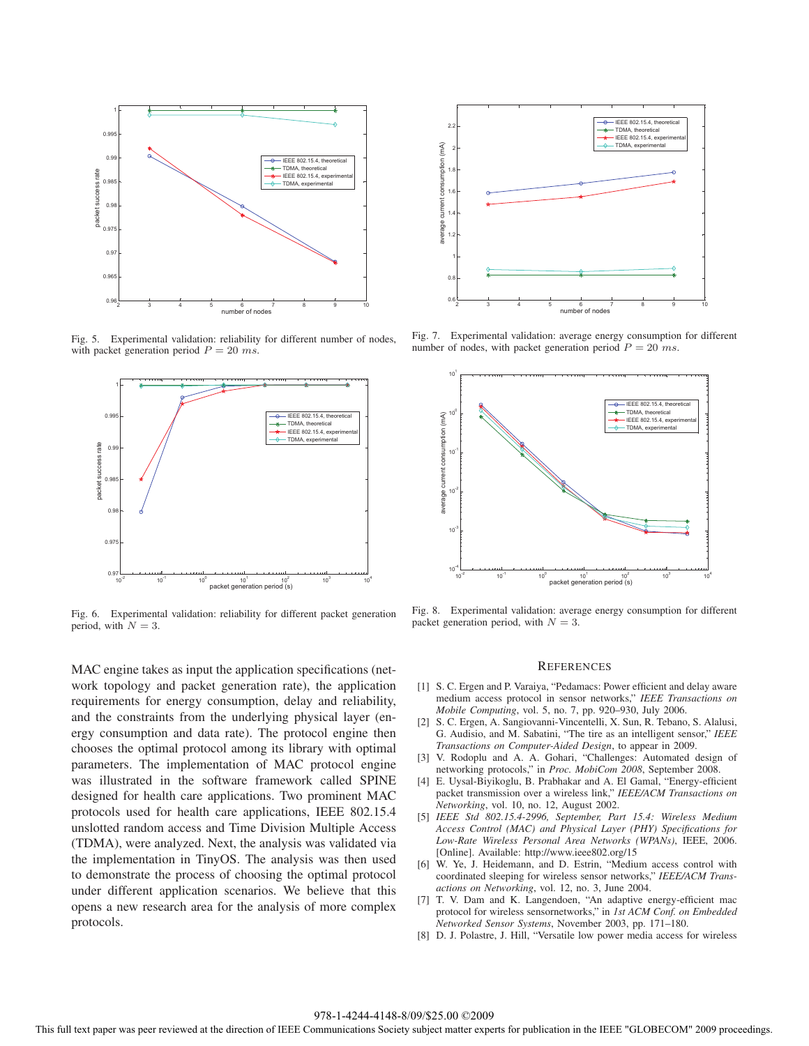

Fig. 5. Experimental validation: reliability for different number of nodes, with packet generation period  $P = 20$  ms.



Fig. 6. Experimental validation: reliability for different packet generation period, with  $N = 3$ .

MAC engine takes as input the application specifications (network topology and packet generation rate), the application requirements for energy consumption, delay and reliability, and the constraints from the underlying physical layer (energy consumption and data rate). The protocol engine then chooses the optimal protocol among its library with optimal parameters. The implementation of MAC protocol engine was illustrated in the software framework called SPINE designed for health care applications. Two prominent MAC protocols used for health care applications, IEEE 802.15.4 unslotted random access and Time Division Multiple Access (TDMA), were analyzed. Next, the analysis was validated via the implementation in TinyOS. The analysis was then used to demonstrate the process of choosing the optimal protocol under different application scenarios. We believe that this opens a new research area for the analysis of more complex protocols.



Fig. 7. Experimental validation: average energy consumption for different number of nodes, with packet generation period  $P = 20$  ms.



Fig. 8. Experimental validation: average energy consumption for different packet generation period, with  $N = 3$ .

#### **REFERENCES**

- [1] S. C. Ergen and P. Varaiya, "Pedamacs: Power efficient and delay aware medium access protocol in sensor networks," *IEEE Transactions on Mobile Computing*, vol. 5, no. 7, pp. 920–930, July 2006.
- [2] S. C. Ergen, A. Sangiovanni-Vincentelli, X. Sun, R. Tebano, S. Alalusi, G. Audisio, and M. Sabatini, "The tire as an intelligent sensor," *IEEE Transactions on Computer-Aided Design*, to appear in 2009.
- [3] V. Rodoplu and A. A. Gohari, "Challenges: Automated design of networking protocols," in *Proc. MobiCom 2008*, September 2008.
- [4] E. Uysal-Biyikoglu, B. Prabhakar and A. El Gamal, "Energy-efficient packet transmission over a wireless link," *IEEE/ACM Transactions on Networking*, vol. 10, no. 12, August 2002.
- [5] *IEEE Std 802.15.4-2996, September, Part 15.4: Wireless Medium Access Control (MAC) and Physical Layer (PHY) Specifications for Low-Rate Wireless Personal Area Networks (WPANs)*, IEEE, 2006. [Online]. Available: http://www.ieee802.org/15
- [6] W. Ye, J. Heidemann, and D. Estrin, "Medium access control with coordinated sleeping for wireless sensor networks," *IEEE/ACM Transactions on Networking*, vol. 12, no. 3, June 2004.
- [7] T. V. Dam and K. Langendoen, "An adaptive energy-efficient mac protocol for wireless sensornetworks," in *1st ACM Conf. on Embedded Networked Sensor Systems*, November 2003, pp. 171–180.
- [8] D. J. Polastre, J. Hill, "Versatile low power media access for wireless

## 978-1-4244-4148-8/09/\$25.00 ©2009